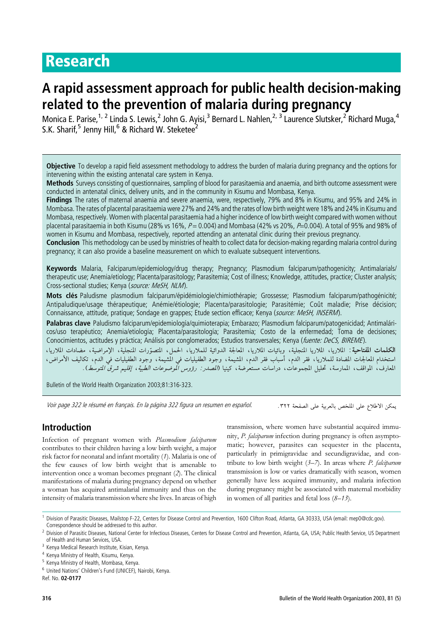# Research

# A rapid assessment approach for public health decision-making related to the prevention of malaria during pregnancy

Monica E. Parise,<sup>1, 2</sup> Linda S. Lewis,<sup>2</sup> John G. Ayisi,<sup>3</sup> Bernard L. Nahlen,<sup>2, 3</sup> Laurence Slutsker,<sup>2</sup> Richard Muga,<sup>4</sup> S.K. Sharif.<sup>5</sup> Jenny Hill.<sup>6</sup> & Richard W. Steketee<sup>2</sup>

Objective To develop a rapid field assessment methodology to address the burden of malaria during pregnancy and the options for intervening within the existing antenatal care system in Kenya.

Methods Surveys consisting of questionnaires, sampling of blood for parasitaemia and anaemia, and birth outcome assessment were conducted in antenatal clinics, delivery units, and in the community in Kisumu and Mombasa, Kenya.

Findings The rates of maternal anaemia and severe anaemia, were, respectively, 79% and 8% in Kisumu, and 95% and 24% in Mombasa. The rates of placental parasitaemia were 27% and 24% and the rates of low birth weight were 18% and 24% in Kisumu and Mombasa, respectively. Women with placental parasitaemia had a higher incidence of low birth weight compared with women without placental parasitaemia in both Kisumu (28% vs 16%,  $P = 0.004$ ) and Mombasa (42% vs 20%,  $P=0.004$ ). A total of 95% and 98% of women in Kisumu and Mombasa, respectively, reported attending an antenatal clinic during their previous pregnancy.

Conclusion This methodology can be used by ministries of health to collect data for decision-making regarding malaria control during pregnancy; it can also provide a baseline measurement on which to evaluate subsequent interventions.

Keywords Malaria, Falciparum/epidemiology/drug therapy; Pregnancy; Plasmodium falciparum/pathogenicity; Antimalarials/ therapeutic use; Anemia/etiology; Placenta/parasitology; Parasitemia; Cost of illness; Knowledge, attitudes, practice; Cluster analysis; Cross-sectional studies; Kenya (source: MeSH, NLM).

Mots clés Paludisme plasmodium falciparum/épidémiologie/chimiothérapie; Grossesse; Plasmodium falciparum/pathogénicité; Antipaludique/usage thérapeutique; Anémie/étiologie; Placenta/parasitologie; Parasitémie; Coût maladie; Prise décision; Connaissance, attitude, pratique; Sondage en grappes; Etude section efficace; Kenya (source: MeSH, INSERM).

Palabras clave Paludismo falciparum/epidemiología/quimioterapia; Embarazo; Plasmodium falciparum/patogenicidad; Antimaláricos/uso terapéutico; Anemia/etiología; Placenta/parasitología; Parasitemia; Costo de la enfermedad; Toma de decisiones; Conocimientos, actitudes y práctica; Análisis por conglomerados; Estudios transversales; Kenya (fuente: DeCS, BIREME).

الكلمات المفتاحية: الملاريا، الملاريا المنجلية، وبائيات الملاريا، المعالجة الدوائية للملاريا، الحمار، المتحدة، الإمراضية، مضادات الملاريا، المعارف، المواقف، الممارسة، تحليل المجموعات، دراسات مستعرضة، كينيا (*الصدر: رؤوس الموضوعات الطبية، إقليم شرق المتوسط*).

Bulletin of the World Health Organization 2003;81:316-323.

Voir page 322 le résumé en français. En la página 322 figura un resumen en español.

# Introduction

Infection of pregnant women with Plasmodium falciparum contributes to their children having a low birth weight, a major risk factor for neonatal and infant mortality (1). Malaria is one of the few causes of low birth weight that is amenable to intervention once a woman becomes pregnant (2). The clinical manifestations of malaria during pregnancy depend on whether a woman has acquired antimalarial immunity and thus on the intensity of malaria transmission where she lives. In areas of high

يمكن الاطلاع على الملخص بالعربية على الصفحة ٣٢٢.

transmission, where women have substantial acquired immunity, P. falciparum infection during pregnancy is often asymptomatic; however, parasites can sequester in the placenta, particularly in primigravidae and secundigravidae, and contribute to low birth weight  $(3–7)$ . In areas where *P. falciparum* transmission is low or varies dramatically with season, women generally have less acquired immunity, and malaria infection during pregnancy might be associated with maternal morbidity in women of all parities and fetal loss  $(8-13)$ .

<sup>1</sup> Division of Parasitic Diseases, Mailstop F-22, Centers for Disease Control and Prevention, 1600 Clifton Road, Atlanta, GA 30333, USA (email: mep0@cdc.gov). Correspondence should be addressed to this author.

Ref. No. 02-0177

<sup>&</sup>lt;sup>2</sup> Division of Parasitic Diseases, National Center for Infectious Diseases, Centers for Disease Control and Prevention, Atlanta, GA, USA; Public Health Service, US Department of Health and Human Services, USA.

<sup>&</sup>lt;sup>3</sup> Kenya Medical Research Institute, Kisian, Kenya.

<sup>4</sup> Kenya Ministry of Health, Kisumu, Kenya.

<sup>5</sup> Kenya Ministry of Health, Mombasa, Kenya.

<sup>6</sup> United Nations' Children's Fund (UNICEF), Nairobi, Kenya.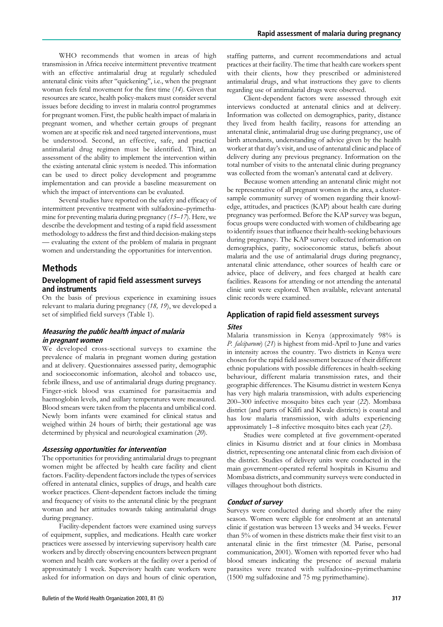WHO recommends that women in areas of high transmission in Africa receive intermittent preventive treatment with an effective antimalarial drug at regularly scheduled antenatal clinic visits after ''quickening'', i.e., when the pregnant woman feels fetal movement for the first time (14). Given that resources are scarce, health policy-makers must consider several issues before deciding to invest in malaria control programmes for pregnant women. First, the public health impact of malaria in pregnant women, and whether certain groups of pregnant women are at specific risk and need targeted interventions, must be understood. Second, an effective, safe, and practical antimalarial drug regimen must be identified. Third, an assessment of the ability to implement the intervention within the existing antenatal clinic system is needed. This information can be used to direct policy development and programme implementation and can provide a baseline measurement on which the impact of interventions can be evaluated.

Several studies have reported on the safety and efficacy of intermittent preventive treatment with sulfadoxine–pyrimethamine for preventing malaria during pregnancy (15–17). Here, we describe the development and testing of a rapid field assessment methodology to address the first and third decision-making steps — evaluating the extent of the problem of malaria in pregnant women and understanding the opportunities for intervention.

## Methods

### Development of rapid field assessment surveys and instruments

On the basis of previous experience in examining issues relevant to malaria during pregnancy (18, 19), we developed a set of simplified field surveys (Table 1).

#### Measuring the public health impact of malaria in pregnant women

We developed cross-sectional surveys to examine the prevalence of malaria in pregnant women during gestation and at delivery. Questionnaires assessed parity, demographic and socioeconomic information, alcohol and tobacco use, febrile illness, and use of antimalarial drugs during pregnancy. Finger-stick blood was examined for parasitaemia and haemoglobin levels, and axillary temperatures were measured. Blood smears were taken from the placenta and umbilical cord. Newly born infants were examined for clinical status and weighed within 24 hours of birth; their gestational age was determined by physical and neurological examination (20).

#### Assessing opportunities for intervention

The opportunities for providing antimalarial drugs to pregnant women might be affected by health care facility and client factors. Facility-dependent factors include the types of services offered in antenatal clinics, supplies of drugs, and health care worker practices. Client-dependent factors include the timing and frequency of visits to the antenatal clinic by the pregnant woman and her attitudes towards taking antimalarial drugs during pregnancy.

Facility-dependent factors were examined using surveys of equipment, supplies, and medications. Health care worker practices were assessed by interviewing supervisory health care workers and by directly observing encounters between pregnant women and health care workers at the facility over a period of approximately 1 week. Supervisory health care workers were asked for information on days and hours of clinic operation,

staffing patterns, and current recommendations and actual practices at their facility. The time that health care workers spent with their clients, how they prescribed or administered antimalarial drugs, and what instructions they gave to clients regarding use of antimalarial drugs were observed.

Client-dependent factors were assessed through exit interviews conducted at antenatal clinics and at delivery. Information was collected on demographics, parity, distance they lived from health facility, reasons for attending an antenatal clinic, antimalarial drug use during pregnancy, use of birth attendants, understanding of advice given by the health worker at that day's visit, and use of antenatal clinic and place of delivery during any previous pregnancy. Information on the total number of visits to the antenatal clinic during pregnancy was collected from the woman's antenatal card at delivery.

Because women attending an antenatal clinic might not be representative of all pregnant women in the area, a clustersample community survey of women regarding their knowledge, attitudes, and practices (KAP) about health care during pregnancy was performed. Before the KAP survey was begun, focus groups were conducted with women of childbearing age to identify issues that influence their health-seeking behaviours during pregnancy. The KAP survey collected information on demographics, parity, socioeconomic status, beliefs about malaria and the use of antimalarial drugs during pregnancy, antenatal clinic attendance, other sources of health care or advice, place of delivery, and fees charged at health care facilities. Reasons for attending or not attending the antenatal clinic unit were explored. When available, relevant antenatal clinic records were examined.

# Application of rapid field assessment surveys

## Sites

Malaria transmission in Kenya (approximately 98% is P. falciparum) (21) is highest from mid-April to June and varies in intensity across the country. Two districts in Kenya were chosen for the rapid field assessment because of their different ethnic populations with possible differences in health-seeking behaviour, different malaria transmission rates, and their geographic differences. The Kisumu district in western Kenya has very high malaria transmission, with adults experiencing 200–300 infective mosquito bites each year (22). Mombasa district (and parts of Kilifi and Kwale districts) is coastal and has low malaria transmission, with adults experiencing approximately 1–8 infective mosquito bites each year (23).

Studies were completed at five government-operated clinics in Kisumu district and at four clinics in Mombasa district, representing one antenatal clinic from each division of the district. Studies of delivery units were conducted in the main government-operated referral hospitals in Kisumu and Mombasa districts, and community surveys were conducted in villages throughout both districts.

#### Conduct of survey

Surveys were conducted during and shortly after the rainy season. Women were eligible for enrolment at an antenatal clinic if gestation was between 13 weeks and 34 weeks. Fewer than 5% of women in these districts make their first visit to an antenatal clinic in the first trimester (M. Parise, personal communication, 2001). Women with reported fever who had blood smears indicating the presence of asexual malaria parasites were treated with sulfadoxine–pyrimethamine (1500 mg sulfadoxine and 75 mg pyrimethamine).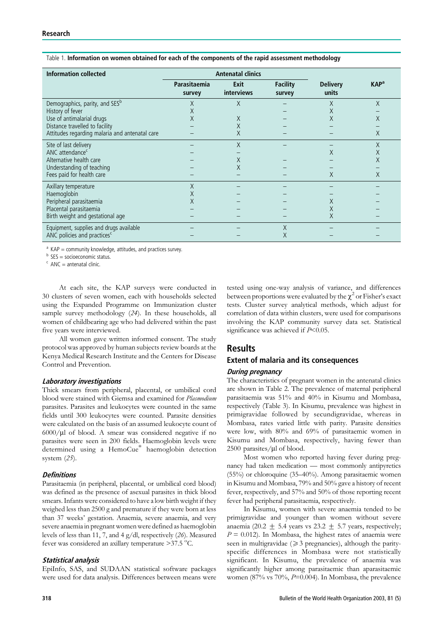| <b>Information collected</b>                   | <b>Antenatal clinics</b> |                    |                           |                          |                         |
|------------------------------------------------|--------------------------|--------------------|---------------------------|--------------------------|-------------------------|
|                                                | Parasitaemia<br>survey   | Exit<br>interviews | <b>Facility</b><br>survey | <b>Delivery</b><br>units | <b>KAP</b> <sup>a</sup> |
| Demographics, parity, and SES <sup>b</sup>     | Χ                        | X                  |                           | Χ                        | X                       |
| History of fever                               | Χ                        |                    |                           | X                        |                         |
| Use of antimalarial drugs                      | Χ                        | $\times$           |                           | X                        |                         |
| Distance travelled to facility                 |                          | X                  |                           |                          |                         |
| Attitudes regarding malaria and antenatal care |                          | X                  |                           |                          | Χ                       |
| Site of last delivery                          |                          | X                  |                           |                          | Χ                       |
| ANC attendance <sup>c</sup>                    |                          |                    |                           | X                        | Χ                       |
| Alternative health care                        |                          | X                  |                           |                          | Χ                       |
| Understanding of teaching                      |                          | Χ                  |                           |                          |                         |
| Fees paid for health care                      |                          |                    |                           | X                        | Χ                       |
| Axillary temperature                           | Χ                        |                    |                           |                          |                         |
| Haemoglobin                                    | X                        |                    |                           |                          |                         |
| Peripheral parasitaemia                        | X                        |                    |                           | X                        |                         |
| Placental parasitaemia                         |                          |                    |                           | X                        |                         |
| Birth weight and gestational age               |                          |                    |                           | X                        |                         |
| Equipment, supplies and drugs available        |                          |                    | X                         |                          |                         |
| ANC policies and practices <sup>c</sup>        |                          |                    | X                         |                          |                         |

#### Table 1. Information on women obtained for each of the components of the rapid assessment methodology

 $a^2$  KAP = community knowledge, attitudes, and practices survey.

 $<sup>b</sup>$  SES = socioeconomic status.</sup>

 $c$  ANC = antenatal clinic.

At each site, the KAP surveys were conducted in 30 clusters of seven women, each with households selected using the Expanded Programme on Immunization cluster sample survey methodology (24). In these households, all women of childbearing age who had delivered within the past five years were interviewed.

All women gave written informed consent. The study protocol was approved by human subjects review boards at the Kenya Medical Research Institute and the Centers for Disease Control and Prevention.

#### Laboratory investigations

Thick smears from peripheral, placental, or umbilical cord blood were stained with Giemsa and examined for Plasmodium parasites. Parasites and leukocytes were counted in the same fields until 300 leukocytes were counted. Parasite densities were calculated on the basis of an assumed leukocyte count of  $6000/\mu$ l of blood. A smear was considered negative if no parasites were seen in 200 fields. Haemoglobin levels were determined using a HemoCue<sup>®</sup> haemoglobin detection system (25).

#### **Definitions**

Parasitaemia (in peripheral, placental, or umbilical cord blood) was defined as the presence of asexual parasites in thick blood smears. Infants were considered to have a low birth weight if they weighed less than 2500 g and premature if they were born at less than 37 weeks' gestation. Anaemia, severe anaemia, and very severe anaemia in pregnant women were defined as haemoglobin levels of less than 11, 7, and 4 g/dl, respectively (26). Measured fever was considered an axillary temperature  $>37.5$  °C.

#### Statistical analysis

EpiInfo, SAS, and SUDAAN statistical software packages were used for data analysis. Differences between means were

tested using one-way analysis of variance, and differences between proportions were evaluated by the  $\chi^2$  or Fisher's exact tests. Cluster survey analytical methods, which adjust for correlation of data within clusters, were used for comparisons involving the KAP community survey data set. Statistical significance was achieved if  $P<0.05$ .

## Results

### Extent of malaria and its consequences

#### During pregnancy

The characteristics of pregnant women in the antenatal clinics are shown in Table 2. The prevalence of maternal peripheral parasitaemia was 51% and 40% in Kisumu and Mombasa, respectively (Table 3). In Kisumu, prevalence was highest in primigravidae followed by secundigravidae, whereas in Mombasa, rates varied little with parity. Parasite densities were low, with 80% and 69% of parasitaemic women in Kisumu and Mombasa, respectively, having fewer than  $2500$  parasites/ $\mu$ l of blood.

Most women who reported having fever during pregnancy had taken medication — most commonly antipyretics (55%) or chloroquine (35–40%). Among parasitaemic women in Kisumu and Mombasa, 79% and 50% gave a history of recent fever, respectively, and 57% and 50% of those reporting recent fever had peripheral parasitaemia, respectively.

In Kisumu, women with severe anaemia tended to be primigravidae and younger than women without severe anaemia (20.2 + 5.4 years vs  $23.2 + 5.7$  years, respectively;  $P = 0.012$ . In Mombasa, the highest rates of anaemia were seen in multigravidae  $(\geq 3$  pregnancies), although the parityspecific differences in Mombasa were not statistically significant. In Kisumu, the prevalence of anaemia was significantly higher among parasitaemic than aparasitaemic women (87% vs 70%, P=0.004). In Mombasa, the prevalence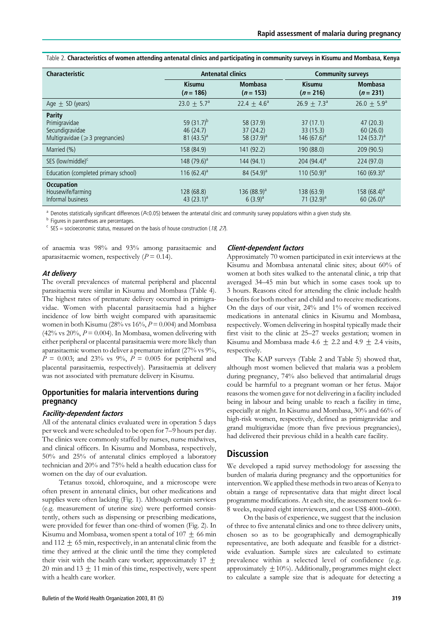Table 2. Characteristics of women attending antenatal clinics and participating in community surveys in Kisumu and Mombasa, Kenya

| Characteristic                                                                      | <b>Antenatal clinics</b>                     |                                                 | <b>Community surveys</b>                |                                        |  |
|-------------------------------------------------------------------------------------|----------------------------------------------|-------------------------------------------------|-----------------------------------------|----------------------------------------|--|
|                                                                                     | <b>Kisumu</b><br>$(n = 186)$                 | <b>Mombasa</b><br>$(n = 153)$                   | <b>Kisumu</b><br>$(n = 216)$            | <b>Mombasa</b><br>$(n = 231)$          |  |
| Age $\pm$ SD (years)                                                                | $23.0 + 5.7^a$                               | 22.4 $\pm$ 4.6 <sup>a</sup>                     | $26.9 + 7.3^{\circ}$                    | $26.0 + 5.9^a$                         |  |
| Parity<br>Primigravidae<br>Secundigravidae<br>Multigravidae ( $\geq$ 3 pregnancies) | 59 $(31.7)^{b}$<br>46(24.7)<br>81 $(43.5)^a$ | 58 (37.9)<br>37(24.2)<br>58 (37.9) <sup>a</sup> | 37(17.1)<br>33 (15.3)<br>146 $(67.6)^a$ | 47(20.3)<br>60(26.0)<br>124 $(53.7)^a$ |  |
| Married (%)                                                                         | 158 (84.9)                                   | 141 (92.2)                                      | 190 (88.0)                              | 209 (90.5)                             |  |
| SES (low/middle) <sup>c</sup>                                                       | 148 $(79.6)^a$                               | 144 (94.1)                                      | 204 $(94.4)^a$                          | 224 (97.0)                             |  |
| Education (completed primary school)                                                | 116 $(62.4)^a$                               | 84 $(54.9)^a$                                   | 110 $(50.9)^a$                          | 160 $(69.3)^a$                         |  |
| <b>Occupation</b><br>Housewife/farming<br>Informal business                         | 128 (68.8)<br>43 $(23.1)^a$                  | 136 $(88.9)^a$<br>$6(3.9)^a$                    | 138 (63.9)<br>71 $(32.9)^a$             | $158(68.4)^a$<br>$60(26.0)^a$          |  |

 $a$  Denotes statistically significant differences ( $P<0.05$ ) between the antenatal clinic and community survey populations within a given study site.

**b** Figures in parentheses are percentages.

 $\epsilon$  SES = socioeconomic status, measured on the basis of house construction (18, 27).

of anaemia was 98% and 93% among parasitaemic and aparasitaemic women, respectively  $(P = 0.14)$ .

#### At delivery

The overall prevalences of maternal peripheral and placental parasitaemia were similar in Kisumu and Mombasa (Table 4). The highest rates of premature delivery occurred in primigravidae. Women with placental parasitaemia had a higher incidence of low birth weight compared with aparasitaemic women in both Kisumu (28% vs  $16\%$ ,  $P = 0.004$ ) and Mombasa (42% vs 20%,  $P = 0.004$ ). In Mombasa, women delivering with either peripheral or placental parasitaemia were more likely than aparasitaemic women to deliver a premature infant (27% vs 9%,  $P = 0.003$ ; and 23% vs 9%,  $P = 0.005$  for peripheral and placental parasitaemia, respectively). Parasitaemia at delivery was not associated with premature delivery in Kisumu.

## Opportunities for malaria interventions during pregnancy

#### Facility-dependent factors

All of the antenatal clinics evaluated were in operation 5 days per week and were scheduled to be open for 7–9 hours per day. The clinics were commonly staffed by nurses, nurse midwives, and clinical officers. In Kisumu and Mombasa, respectively, 50% and 25% of antenatal clinics employed a laboratory technician and 20% and 75% held a health education class for women on the day of our evaluation.

Tetanus toxoid, chloroquine, and a microscope were often present in antenatal clinics, but other medications and supplies were often lacking (Fig. 1). Although certain services (e.g. measurement of uterine size) were performed consistently, others such as dispensing or prescribing medications, were provided for fewer than one-third of women (Fig. 2). In Kisumu and Mombasa, women spent a total of  $107 + 66$  min and  $112 \pm 65$  min, respectively, in an antenatal clinic from the time they arrived at the clinic until the time they completed their visit with the health care worker; approximately  $17 +$ 20 min and  $13 \pm 11$  min of this time, respectively, were spent with a health care worker.

#### Client-dependent factors

Approximately 70 women participated in exit interviews at the Kisumu and Mombasa antenatal clinic sites; about 60% of women at both sites walked to the antenatal clinic, a trip that averaged 34–45 min but which in some cases took up to 3 hours. Reasons cited for attending the clinic include health benefits for both mother and child and to receive medications. On the days of our visit, 24% and 1% of women received medications in antenatal clinics in Kisumu and Mombasa, respectively. Women delivering in hospital typically made their first visit to the clinic at 25–27 weeks gestation; women in Kisumu and Mombasa made 4.6  $\pm$  2.2 and 4.9  $\pm$  2.4 visits, respectively.

The KAP surveys (Table 2 and Table 5) showed that, although most women believed that malaria was a problem during pregnancy, 74% also believed that antimalarial drugs could be harmful to a pregnant woman or her fetus. Major reasons the women gave for not delivering in a facility included being in labour and being unable to reach a facility in time, especially at night. In Kisumu and Mombasa, 30% and 66% of high-risk women, respectively, defined as primigravidae and grand multigravidae (more than five previous pregnancies), had delivered their previous child in a health care facility.

## **Discussion**

We developed a rapid survey methodology for assessing the burden of malaria during pregnancy and the opportunities for intervention. We applied these methods in two areas of Kenya to obtain a range of representative data that might direct local programme modifications. At each site, the assessment took 6– 8 weeks, required eight interviewers, and cost US\$ 4000–6000.

On the basis of experience, we suggest that the inclusion of three to five antenatal clinics and one to three delivery units, chosen so as to be geographically and demographically representative, are both adequate and feasible for a districtwide evaluation. Sample sizes are calculated to estimate prevalence within a selected level of confidence (e.g. approximately  $\pm 10\%$ ). Additionally, programmes might elect to calculate a sample size that is adequate for detecting a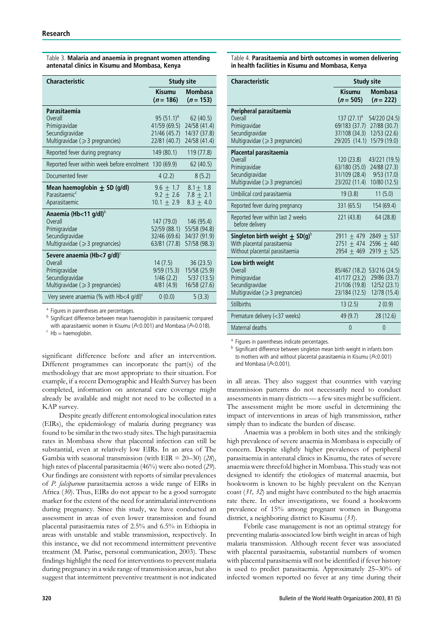| Table 3. Malaria and anaemia in pregnant women attending |
|----------------------------------------------------------|
| antenatal clinics in Kisumu and Mombasa, Kenya           |

| Characteristic                                                                                                                     | <b>Study site</b>                                             |                                                                         |
|------------------------------------------------------------------------------------------------------------------------------------|---------------------------------------------------------------|-------------------------------------------------------------------------|
|                                                                                                                                    | <b>Kisumu</b><br>$(n = 186)$                                  | <b>Mombasa</b><br>$(n = 153)$                                           |
| Parasitaemia<br>Overall<br>Primigravidae<br>Secundigravidae<br>Multigravidae ( $\geqslant$ 3 pregnancies)                          | 95 $(51.1)^a$<br>41/59 (69.5)<br>21/46 (45.7)<br>22/81 (40.7) | 62 (40.5)<br>24/58 (41.4)<br>14/37 (37.8)<br>24/58 (41.4)               |
| Reported fever during pregnancy                                                                                                    | 149(80.1)                                                     | 119 (77.8)                                                              |
| Reported fever within week before enrolment 130 (69.9)                                                                             |                                                               | 62 (40.5)                                                               |
| Documented fever                                                                                                                   | 4(2.2)                                                        | 8(5.2)                                                                  |
| Mean haemoglobin $\pm$ SD (g/dl)<br>Parasitaemic <sup>c</sup><br>Aparasitaemic                                                     | $9.6 + 1.7$<br>$9.2 \pm 2.6$<br>$10.1 \pm 2.9$                | $8.1 + 1.8$<br>$7.8 + 2.1$<br>$8.3 + 4.0$                               |
| Anaemia (Hb<11 g/dl) <sup>b</sup><br>Overall<br>Primigravidae<br>Secundigravidae<br>Multigravidae (≥3 pregnancies)                 | 147 (79.0)<br>52/59 (88.1)<br>63/81 (77.8)                    | 146 (95.4)<br>55/58 (94.8)<br>32/46 (69.6) 34/37 (91.9)<br>57/58 (98.3) |
| Severe anaemia (Hb<7 g/dl) $\text{C}$<br>Overall<br>Primigravidae<br>Secundigravidae<br>Multigravidae ( $\geqslant$ 3 pregnancies) | 14(7.5)<br>9/59(15.3)<br>1/46(2.2)<br>4/81(4.9)               | 36(23.5)<br>15/58 (25.9)<br>5/37(13.5)<br>16/58 (27.6)                  |
| Very severe anaemia (% with $Hb<4$ g/dl) <sup>c</sup>                                                                              | 0(0.0)                                                        | 5(3.3)                                                                  |

<sup>a</sup> Figures in parentheses are percentages.

<sup>b</sup> Significant difference between mean haemoglobin in parasitaemic compared with aparasitaemic women in Kisumu ( $P<0.001$ ) and Mombasa ( $P=0.018$ ).<br><sup>c</sup> Hb = haemoglobin.

significant difference before and after an intervention. Different programmes can incorporate the part(s) of the methodology that are most appropriate to their situation. For example, if a recent Demographic and Health Survey has been completed, information on antenatal care coverage might already be available and might not need to be collected in a KAP survey.

Despite greatly different entomological inoculation rates (EIRs), the epidemiology of malaria during pregnancy was found to be similar in the two study sites. The high parasitaemia rates in Mombasa show that placental infection can still be substantial, even at relatively low EIRs. In an area of The Gambia with seasonal transmission (with EIR =  $20-30$ ) (28), high rates of placental parasitaemia (46%) were also noted (29). Our findings are consistent with reports of similar prevalences of P. falciparum parasitaemia across a wide range of EIRs in Africa (30). Thus, EIRs do not appear to be a good surrogate marker for the extent of the need for antimalarial interventions during pregnancy. Since this study, we have conducted an assessment in areas of even lower transmission and found placental parasitaemia rates of 2.5% and 6.5% in Ethiopia in areas with unstable and stable transmission, respectively. In this instance, we did not recommend intermittent preventive treatment (M. Parise, personal communication, 2003). These findings highlight the need for interventions to prevent malaria during pregnancy in a wide range of transmission areas, but also suggest that intermittent preventive treatment is not indicated

Table 4. Parasitaemia and birth outcomes in women delivering in health facilities in Kisumu and Mombasa, Kenya

| <b>Characteristic</b>                                 | <b>Study site</b>            |                               |  |
|-------------------------------------------------------|------------------------------|-------------------------------|--|
|                                                       | <b>Kisumu</b><br>$(n = 505)$ | <b>Mombasa</b><br>$(n = 222)$ |  |
| Peripheral parasitaemia                               |                              |                               |  |
| Overall                                               | $137(27.1)^a$                | 54/220 (24.5)                 |  |
| Primigravidae                                         | 69/183 (37.7)                | 27/88 (30.7)                  |  |
| Secundigravidae                                       | 37/108 (34.3)                | 12/53 (22.6)                  |  |
| Multigravidae (≥3 pregnancies)                        | 29/205 (14.1)                | 15/79 (19.0)                  |  |
| Placental parasitaemia                                |                              |                               |  |
| Overall                                               | 120 (23.8)                   | 43/221 (19.5)                 |  |
| Primigravidae                                         | 63/180 (35.0)                | 24/88 (27.3)                  |  |
| Secundigravidae                                       | 31/109 (28.4)                | 9/53(17.0)                    |  |
| Multigravidae (≥3 pregnancies)                        | 23/202 (11.4)                | 10/80 (12.5)                  |  |
| Umbilical cord parasitaemia                           | 19(3.8)                      | 11(5.0)                       |  |
| Reported fever during pregnancy                       | 331 (65.5)                   | 154 (69.4)                    |  |
| Reported fever within last 2 weeks<br>before delivery | 221 (43.8)                   | 64 (28.8)                     |  |
| Singleton birth weight $\pm$ SD(g) <sup>b</sup>       | $2911 + 479$                 | $2849 + 537$                  |  |
| With placental parasitaemia                           | $2751 + 474$                 | $2596 + 440$                  |  |
| Without placental parasitaemia                        | $2954 + 469$                 | $2919 + 525$                  |  |
| Low birth weight                                      |                              |                               |  |
| Overall                                               | 85/467 (18.2) 53/216 (24.5)  |                               |  |
| Primigravidae                                         | 41/177 (23.2)                | 29/86 (33.7)                  |  |
| Secundigravidae                                       | 21/106 (19.8)                | 12/52 (23.1)                  |  |
| Multigravidae (≥3 pregnancies)                        | 23/184 (12.5)                | 12/78 (15.4)                  |  |
| <b>Stillbirths</b>                                    | 13(2.5)                      | 2(0.9)                        |  |
| Premature delivery (<37 weeks)                        | 49 (9.7)                     | 28 (12.6)                     |  |
| Maternal deaths                                       | 0                            | 0                             |  |

<sup>a</sup> Figures in parentheses indicate percentages.

Significant difference between singleton mean birth weight in infants born to mothers with and without placental parasitaemia in Kisumu ( $P<0.001$ ) and Mombasa (P<0.001).

in all areas. They also suggest that countries with varying transmission patterns do not necessarily need to conduct assessments in many districts— a few sites might be sufficient. The assessment might be more useful in determining the impact of interventions in areas of high transmission, rather simply than to indicate the burden of disease.

Anaemia was a problem in both sites and the strikingly high prevalence of severe anaemia in Mombasa is especially of concern. Despite slightly higher prevalences of peripheral parasitaemia in antenatal clinics in Kisumu, the rates of severe anaemia were threefold higher in Mombasa. This study was not designed to identify the etiologies of maternal anaemia, but hookworm is known to be highly prevalent on the Kenyan coast (31, 32) and might have contributed to the high anaemia rate there. In other investigations, we found a hookworm prevalence of 15% among pregnant women in Bungoma district, a neighboring district to Kisumu (33).

Febrile case management is not an optimal strategy for preventing malaria-associated low birth weight in areas of high malaria transmission. Although recent fever was associated with placental parasitaemia, substantial numbers of women with placental parasitaemia will not be identified if fever history is used to predict parasitaemia. Approximately 25–30% of infected women reported no fever at any time during their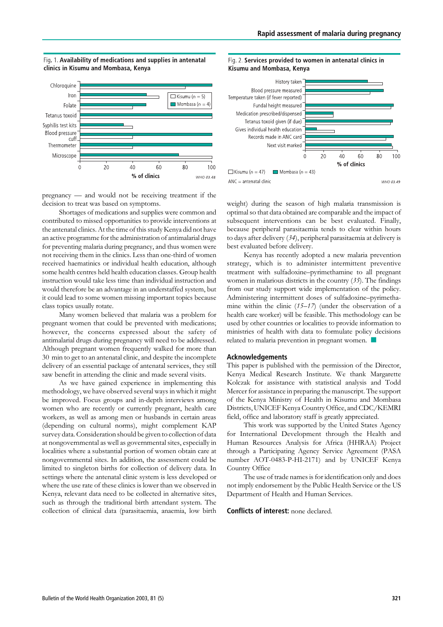

#### Fig. 1. Availability of medications and supplies in antenatal clinics in Kisumu and Mombasa, Kenya

pregnancy — and would not be receiving treatment if the decision to treat was based on symptoms.

Shortages of medications and supplies were common and contributed to missed opportunities to provide interventions at the antenatal clinics. At the time of this study Kenya did not have an active programme for the administration of antimalarial drugs for preventing malaria during pregnancy, and thus women were not receiving them in the clinics. Less than one-third of women received haematinics or individual health education, although some health centres held health education classes. Group health instruction would take less time than individual instruction and would therefore be an advantage in an understaffed system, but it could lead to some women missing important topics because class topics usually rotate.

Many women believed that malaria was a problem for pregnant women that could be prevented with medications; however, the concerns expressed about the safety of antimalarial drugs during pregnancy will need to be addressed. Although pregnant women frequently walked for more than 30 min to get to an antenatal clinic, and despite the incomplete delivery of an essential package of antenatal services, they still saw benefit in attending the clinic and made several visits.

As we have gained experience in implementing this methodology, we have observed several ways in which it might be improved. Focus groups and in-depth interviews among women who are recently or currently pregnant, health care workers, as well as among men or husbands in certain areas (depending on cultural norms), might complement KAP survey data. Consideration should be given to collection of data at nongovernmental as well as governmental sites, especially in localities where a substantial portion of women obtain care at nongovernmental sites. In addition, the assessment could be limited to singleton births for collection of delivery data. In settings where the antenatal clinic system is less developed or where the use rate of these clinics is lower than we observed in Kenya, relevant data need to be collected in alternative sites, such as through the traditional birth attendant system. The collection of clinical data (parasitaemia, anaemia, low birth





weight) during the season of high malaria transmission is optimal so that data obtained are comparable and the impact of subsequent interventions can be best evaluated. Finally, because peripheral parasitaemia tends to clear within hours to days after delivery (34), peripheral parasitaemia at delivery is best evaluated before delivery.

Kenya has recently adopted a new malaria prevention strategy, which is to administer intermittent preventive treatment with sulfadoxine–pyrimethamine to all pregnant women in malarious districts in the country  $(35)$ . The findings from our study support wide implementation of the policy. Administering intermittent doses of sulfadoxine–pyrimethamine within the clinic  $(15-17)$  (under the observation of a health care worker) will be feasible. This methodology can be used by other countries or localities to provide information to ministries of health with data to formulate policy decisions related to malaria prevention in pregnant women. *n*

#### Acknowledgements

This paper is published with the permission of the Director, Kenya Medical Research Institute. We thank Margarette Kolczak for assistance with statistical analysis and Todd Mercer for assistance in preparing the manuscript. The support of the Kenya Ministry of Health in Kisumu and Mombasa Districts, UNICEF Kenya Country Office, and CDC/KEMRI field, office and laboratory staff is greatly appreciated.

This work was supported by the United States Agency for International Development through the Health and Human Resources Analysis for Africa (HHRAA) Project through a Participating Agency Service Agreement (PASA number AOT-0483-P-HI-2171) and by UNICEF Kenya Country Office

The use of trade names is for identification only and does not imply endorsement by the Public Health Service or the US Department of Health and Human Services.

#### Conflicts of interest: none declared.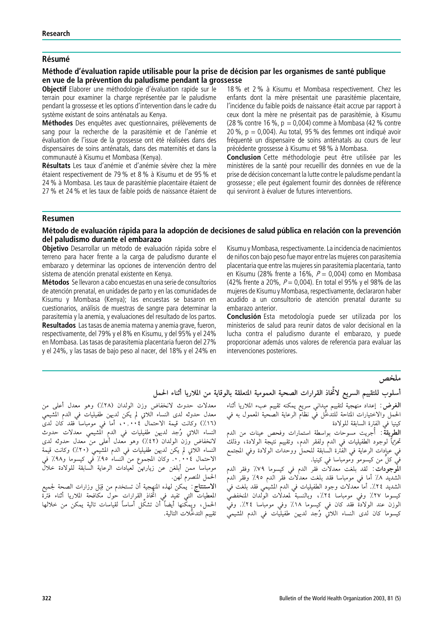## **Résumé**

## Méthode d'évaluation rapide utilisable pour la prise de décision par les organismes de santé publique en vue de la prévention du paludisme pendant la grossesse

Objectif Elaborer une méthodologie d'évaluation rapide sur le terrain pour examiner la charge représentée par le paludisme pendant la grossesse et les options d'intervention dans le cadre du système existant de soins anténatals au Kenya.

Méthodes Des enquêtes avec questionnaires, prélèvements de sang pour la recherche de la parasitémie et de l'anémie et évaluation de l'issue de la grossesse ont été réalisées dans des dispensaires de soins anténatals, dans des maternités et dans la communauté à Kisumu et Mombasa (Kenya).

Résultats Les taux d'anémie et d'anémie sévère chez la mère étaient respectivement de 79 % et 8 % à Kisumu et de 95 % et 24 % à Mombasa. Les taux de parasitémie placentaire étaient de 27 % et 24 % et les taux de faible poids de naissance étaient de

18 % et 2 % a` Kisumu et Mombasa respectivement. Chez les enfants dont la mère présentait une parasitémie placentaire, l'incidence du faible poids de naissance était accrue par rapport à ceux dont la mère ne présentait pas de parasitémie, à Kisumu (28 % contre 16 %,  $p = 0.004$ ) comme à Mombasa (42 % contre 20 %,  $p = 0.004$ ). Au total, 95 % des femmes ont indiqué avoir fréquenté un dispensaire de soins anténatals au cours de leur précédente grossesse à Kisumu et 98 % à Mombasa.

Conclusion Cette méthodologie peut être utilisée par les ministères de la santé pour recueillir des données en vue de la prise de décision concernant la lutte contre le paludisme pendant la grossesse ; elle peut également fournir des données de référence qui serviront à évaluer de futures interventions.

### Resumen

## Método de evaluación rápida para la adopción de decisiones de salud pública en relación con la prevención del paludismo durante el embarazo

Objetivo Desarrollar un método de evaluación rápida sobre el terreno para hacer frente a la carga de paludismo durante el embarazo y determinar las opciones de intervención dentro del sistema de atención prenatal existente en Kenya.

Métodos Se llevaron a cabo encuestas en una serie de consultorios de atención prenatal, en unidades de parto y en las comunidades de Kisumu y Mombasa (Kenya); las encuestas se basaron en cuestionarios, análisis de muestras de sangre para determinar la parasitemia y la anemia, y evaluaciones del resultado de los partos. Resultados Las tasas de anemia materna y anemia grave, fueron, respectivamente, del 79% y el 8% en Kisumu, y del 95% y el 24% en Mombasa. Las tasas de parasitemia placentaria fueron del 27% y el 24%, y las tasas de bajo peso al nacer, del 18% y el 24% en

Kisumu y Mombasa, respectivamente. La incidencia de nacimientos de niños con bajo peso fue mayor entre las mujeres con parasitemia placentaria que entre las mujeres sin parasitemia placentaria, tanto en Kisumu (28% frente a 16%,  $P = 0.004$ ) como en Mombasa (42% frente a 20%,  $P = 0.004$ ). En total el 95% y el 98% de las mujeres de Kisumu y Mombasa, respectivamente, declararon haber acudido a un consultorio de atención prenatal durante su embarazo anterior.

Conclusión Esta metodología puede ser utilizada por los ministerios de salud para reunir datos de valor decisional en la lucha contra el paludismo durante el embarazo, y puede proporcionar además unos valores de referencia para evaluar las intervenciones posteriores.

# ملخص

## أسلوب للتقييم السريع لائْخاذ القرارات الصحية العمومية المتعلقة بالوقاية من الملاريا أثناء الحمل

معدلات حدوث لانخفاض وزن الولدان (٢٨٪) وهو معدل أعلى من معدل حدوثه لدى النساء اللاتي لم يكن لديهن طفيليات في الدم المشيمي (١٦٪) وكانت قيمة الاحتمال ً ٤٠.٠. أما في مومباسا فقد كان لدى<br>النساء اللاتي وُجد لديهن طفيليات في الدم المشيمي معدلات حدوث لانخفاض وَّزن الولدان (٤٢٪) وهو معدل أُعلى منَّ معدل حدوثه لدى النساء اللاتي لم يكن لديهن طفيليات في الدم المشيمي (٢٠٪) وكانت قيمة الاحتمال ٢٠٠٤, ..<br>الاحتمال ٢٠٠٤, .. وكان المجموع من النساء ٩٥٪ في كيسوما و٩٨٪ في<br>مومباسا ممن أبلغن عن زيارتهن لعيادات الرعاية السابقة للولادة خلال الحمل المنصرم لهن.

الاستنتاج: كمكن لهذه المنهجية أن تستخدم من قِبَل وزارات الصحة لجميع الحملُ، ويمكِّنها أيضاً أن تشكِّل أساساً لقياسات تالية يمكن من خلالها تقييم التدخُّلات التالية.

**الغرض** : إعداد منهجية لتقييم ميداني سريع يمكنه تقييم عبء الملاريا أثناء<br>الحمل والاختيارات المتابة للتدخُّل في نظام الرعاية الصحية المعمول به في<br>الحمل والاختيارات المتابع للتدخُّل في نظام الرعاية الصحية المعمول به في كينيا ًفي الفترة السابقة للولادة

**الطرِيقةٌ**: أُجريت مسوحات بواسطة استمارات وفحص عينات من الدم تحرِّيًّا لوجود الطفيليات في الدم ولفقر الدم، وتقييم نتيجة الولادة، وذلكْ ّه عبادات الرعاية في الفترة السابقة للحمل ووحدات الولادة وفي المجتمع " فيَّ كلٍّ من كيسومو وْمومباسا في كينيا.

المُوجِوَّدَاتَ : لقد بلغت معدلات فقر الدم في كيسوما ٧٩٪ وفقر الدم الشَّديد ٨٪ أما في مومباسا فقد بلغتٌ معدلًات فقرَّ الدم ٩٥٪ وفقرَّ الدمْ الشديد ٢٤٪. أما معدلات وجود الطفيليات في الدمّ المشيمي فقد بلغت فيٰ كيسوما ٢٧٪ وفي مومباسا ٢٤٪، وبالنسبة لمعدلات الولدان المنخفضيّ